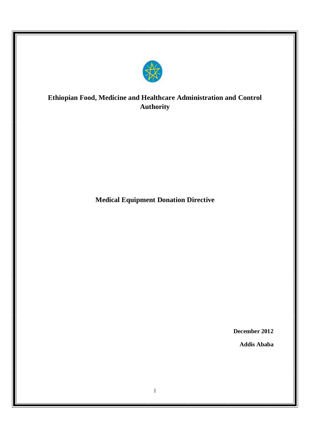

# **Ethiopian Food, Medicine and Healthcare Administration and Control Authority**

**Medical Equipment Donation Directive**

**December 2012**

**Addis Ababa**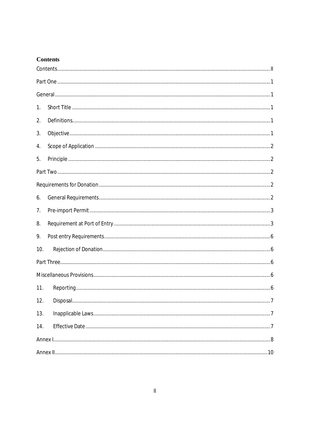# **Contents**

| 1.  |  |
|-----|--|
| 2.  |  |
| 3.  |  |
| 4.  |  |
| 5.  |  |
|     |  |
|     |  |
| 6.  |  |
| 7.  |  |
| 8.  |  |
| 9.  |  |
| 10. |  |
|     |  |
|     |  |
| 11. |  |
| 12. |  |
| 13. |  |
| 14. |  |
|     |  |
|     |  |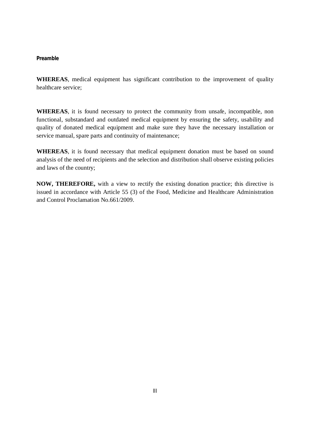#### **Preamble**

**WHEREAS**, medical equipment has significant contribution to the improvement of quality healthcare service;

**WHEREAS**, it is found necessary to protect the community from unsafe, incompatible, non functional, substandard and outdated medical equipment by ensuring the safety, usability and quality of donated medical equipment and make sure they have the necessary installation or service manual, spare parts and continuity of maintenance;

**WHEREAS**, it is found necessary that medical equipment donation must be based on sound analysis of the need of recipients and the selection and distribution shall observe existing policies and laws of the country;

**NOW, THEREFORE,** with a view to rectify the existing donation practice; this directive is issued in accordance with Article 55 (3) of the Food, Medicine and Healthcare Administration and Control Proclamation No.661/2009.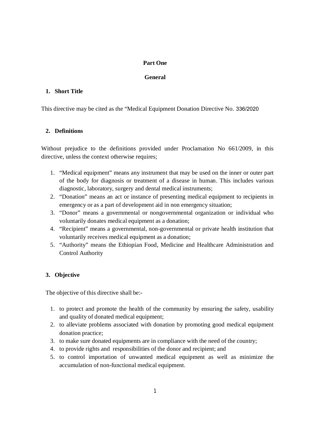# **Part One**

# **General**

# **1. Short Title**

This directive may be cited as the "Medical Equipment Donation Directive No. 336/2020

# **2. Definitions**

Without prejudice to the definitions provided under Proclamation No 661/2009, in this directive, unless the context otherwise requires;

- 1. "Medical equipment" means any instrument that may be used on the inner or outer part of the body for diagnosis or treatment of a disease in human. This includes various diagnostic, laboratory, surgery and dental medical instruments;
- 2. "Donation" means an act or instance of presenting medical equipment to recipients in emergency or as a part of development aid in non emergency situation;
- 3. "Donor" means a governmental or nongovernmental organization or individual who voluntarily donates medical equipment as a donation;
- 4. "Recipient" means a governmental, non-governmental or private health institution that voluntarily receives medical equipment as a donation;
- 5. "Authority" means the Ethiopian Food, Medicine and Healthcare Administration and Control Authority

# **3. Objective**

The objective of this directive shall be:-

- 1. to protect and promote the health of the community by ensuring the safety, usability and quality of donated medical equipment;
- 2. to alleviate problems associated with donation by promoting good medical equipment donation practice;
- 3. to make sure donated equipments are in compliance with the need of the country;
- 4. to provide rights and responsibilities of the donor and recipient; and
- 5. to control importation of unwanted medical equipment as well as minimize the accumulation of non-functional medical equipment.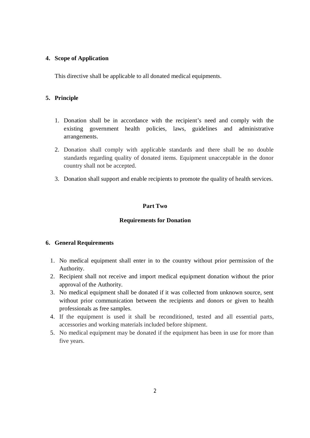## **4. Scope of Application**

This directive shall be applicable to all donated medical equipments.

## **5. Principle**

- 1. Donation shall be in accordance with the recipient's need and comply with the existing government health policies, laws, guidelines and administrative arrangements.
- 2. Donation shall comply with applicable standards and there shall be no double standards regarding quality of donated items. Equipment unacceptable in the donor country shall not be accepted.
- 3. Donation shall support and enable recipients to promote the quality of health services.

## **Part Two**

#### **Requirements for Donation**

# **6. General Requirements**

- 1. No medical equipment shall enter in to the country without prior permission of the Authority.
- 2. Recipient shall not receive and import medical equipment donation without the prior approval of the Authority.
- 3. No medical equipment shall be donated if it was collected from unknown source, sent without prior communication between the recipients and donors or given to health professionals as free samples.
- 4. If the equipment is used it shall be reconditioned, tested and all essential parts, accessories and working materials included before shipment.
- 5. No medical equipment may be donated if the equipment has been in use for more than five years.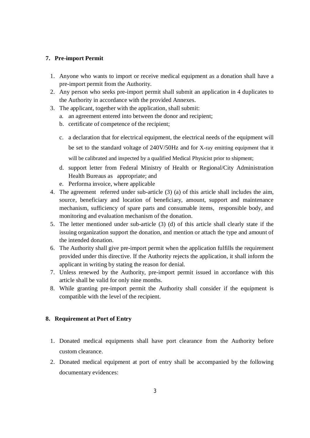## **7. Pre-import Permit**

- 1. Anyone who wants to import or receive medical equipment as a donation shall have a pre-import permit from the Authority.
- 2. Any person who seeks pre-import permit shall submit an application in 4 duplicates to the Authority in accordance with the provided Annexes.
- 3. The applicant, together with the application, shall submit:
	- a. an agreement entered into between the donor and recipient;
	- b. certificate of competence of the recipient;
	- c. a declaration that for electrical equipment, the electrical needs of the equipment will be set to the standard voltage of 240V/50Hz and for X-ray emitting equipment that it will be calibrated and inspected by a qualified Medical Physicist prior to shipment;
	- d. support letter from Federal Ministry of Health or Regional/City Administration Health Bureaus as appropriate; and
	- e. Performa invoice, where applicable
- 4. The agreement referred under sub-article (3) (a) of this article shall includes the aim, source, beneficiary and location of beneficiary, amount, support and maintenance mechanism, sufficiency of spare parts and consumable items, responsible body, and monitoring and evaluation mechanism of the donation.
- 5. The letter mentioned under sub-article (3) (d) of this article shall clearly state if the issuing organization support the donation, and mention or attach the type and amount of the intended donation.
- 6. The Authority shall give pre-import permit when the application fulfills the requirement provided under this directive. If the Authority rejects the application, it shall inform the applicant in writing by stating the reason for denial.
- 7. Unless renewed by the Authority, pre-import permit issued in accordance with this article shall be valid for only nine months.
- 8. While granting pre-import permit the Authority shall consider if the equipment is compatible with the level of the recipient.

# **8. Requirement at Port of Entry**

- 1. Donated medical equipments shall have port clearance from the Authority before custom clearance.
- 2. Donated medical equipment at port of entry shall be accompanied by the following documentary evidences: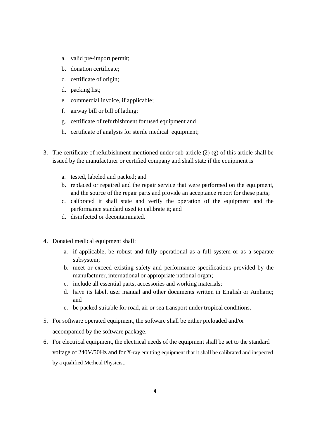- a. valid pre-import permit;
- b. donation certificate;
- c. certificate of origin;
- d. packing list;
- e. commercial invoice, if applicable;
- f. airway bill or bill of lading;
- g. certificate of refurbishment for used equipment and
- h. certificate of analysis for sterile medical equipment;
- 3. The certificate of refurbishment mentioned under sub-article (2) (g) of this article shall be issued by the manufacturer or certified company and shall state if the equipment is
	- a. tested, labeled and packed; and
	- b. replaced or repaired and the repair service that were performed on the equipment, and the source of the repair parts and provide an acceptance report for these parts;
	- c. calibrated it shall state and verify the operation of the equipment and the performance standard used to calibrate it; and
	- d. disinfected or decontaminated.
- 4. Donated medical equipment shall:
	- a. if applicable, be robust and fully operational as a full system or as a separate subsystem;
	- b. meet or exceed existing safety and performance specifications provided by the manufacturer, international or appropriate national organ;
	- c. include all essential parts, accessories and working materials;
	- d. have its label, user manual and other documents written in English or Amharic; and
	- e. be packed suitable for road, air or sea transport under tropical conditions.
- 5. For software operated equipment, the software shall be either preloaded and/or accompanied by the software package.
- 6. For electrical equipment, the electrical needs of the equipment shall be set to the standard voltage of 240V/50Hz and for X-ray emitting equipment that it shall be calibrated and inspected by a qualified Medical Physicist.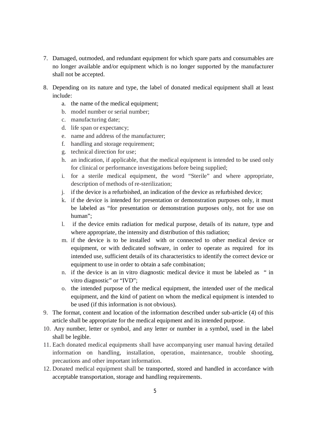- 7. Damaged, outmoded, and redundant equipment for which spare parts and consumables are no longer available and/or equipment which is no longer supported by the manufacturer shall not be accepted.
- 8. Depending on its nature and type, the label of donated medical equipment shall at least include:
	- a. the name of the medical equipment;
	- b. model number or serial number;
	- c. manufacturing date;
	- d. life span or expectancy;
	- e. name and address of the manufacturer;
	- f. handling and storage requirement;
	- g. technical direction for use;
	- h. an indication, if applicable, that the medical equipment is intended to be used only for clinical or performance investigations before being supplied;
	- i. for a sterile medical equipment, the word "Sterile" and where appropriate, description of methods of re-sterilization;
	- j. if the device is a refurbished, an indication of the device as refurbished device;
	- k. if the device is intended for presentation or demonstration purposes only, it must be labeled as "for presentation or demonstration purposes only, not for use on human";
	- l. if the device emits radiation for medical purpose, details of its nature, type and where appropriate, the intensity and distribution of this radiation;
	- m. if the device is to be installed with or connected to other medical device or equipment, or with dedicated software, in order to operate as required for its intended use, sufficient details of its characteristics to identify the correct device or equipment to use in order to obtain a safe combination;
	- n. if the device is an in vitro diagnostic medical device it must be labeled as " in vitro diagnostic" or "IVD";
	- o. the intended purpose of the medical equipment, the intended user of the medical equipment, and the kind of patient on whom the medical equipment is intended to be used (if this information is not obvious).
- 9. The format, content and location of the information described under sub-article (4) of this article shall be appropriate for the medical equipment and its intended purpose.
- 10. Any number, letter or symbol, and any letter or number in a symbol, used in the label shall be legible.
- 11. Each donated medical equipments shall have accompanying user manual having detailed information on handling, installation, operation, maintenance, trouble shooting, precautions and other important information.
- 12. Donated medical equipment shall be transported, stored and handled in accordance with acceptable transportation, storage and handling requirements.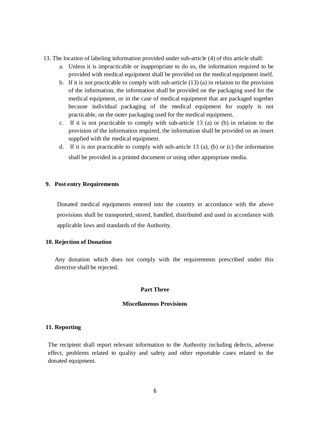- 13. The location of labeling information provided under sub-article (4) of this article shall:
	- a. Unless it is impracticable or inappropriate to do so, the information required to be provided with medical equipment shall be provided on the medical equipment itself.
	- b. If it is not practicable to comply with sub-article (13) (a) in relation to the provision of the information, the information shall be provided on the packaging used for the medical equipment, or in the case of medical equipment that are packaged together because individual packaging of the medical equipment for supply is not practicable, on the outer packaging used for the medical equipment.
	- c. If it is not practicable to comply with sub-article 13 (a) or (b) in relation to the provision of the information required, the information shall be provided on an insert supplied with the medical equipment.
	- d. If it is not practicable to comply with sub-article 13 (a), (b) or (c) the information shall be provided in a printed document or using other appropriate media.

#### **9. Post entry Requirements**

Donated medical equipments entered into the country in accordance with the above provisions shall be transported, stored, handled, distributed and used in accordance with applicable laws and standards of the Authority.

#### **10. Rejection of Donation**

Any donation which does not comply with the requirements prescribed under this directive shall be rejected.

# **Part Three**

#### **Miscellaneous Provisions**

## **11. Reporting**

The recipient shall report relevant information to the Authority including defects, adverse effect, problems related to quality and safety and other reportable cases related to the donated equipment.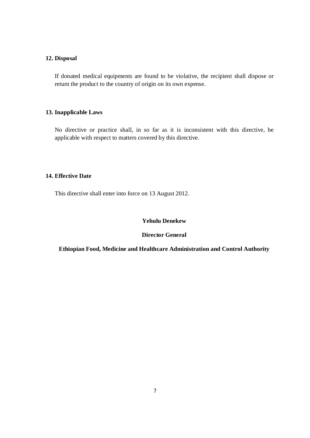#### **12. Disposal**

If donated medical equipments are found to be violative, the recipient shall dispose or return the product to the country of origin on its own expense.

# **13. Inapplicable Laws**

No directive or practice shall, in so far as it is inconsistent with this directive, be applicable with respect to matters covered by this directive.

## **14. Effective Date**

This directive shall enter into force on 13 August 2012.

## **Yehulu Denekew**

## **Director General**

**Ethiopian Food, Medicine and Healthcare Administration and Control Authority**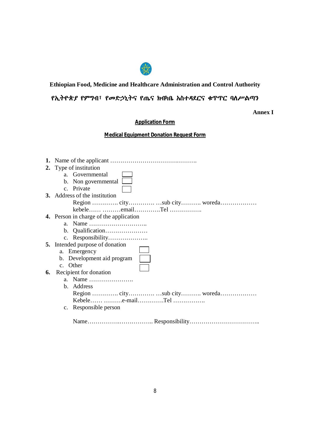

# **Ethiopian Food, Medicine and Healthcare Administration and Control Authority**

# የኢትዮጵያ የምግብ፣ የመድኃኒትና የጤና ክብካቤ አስተዳደርና ቁጥጥር ባሰሥልጣን

**Annex I**

**Application Form**

**Medical Equipment Donation Request Form**

|    | 2. Type of institution                        |
|----|-----------------------------------------------|
|    | Governmental<br>$a -$                         |
|    | b. Non governmental                           |
|    | c. Private                                    |
|    | 3. Address of the institution                 |
|    |                                               |
|    | kebele emailTel                               |
|    | <b>4.</b> Person in charge of the application |
|    |                                               |
|    |                                               |
|    |                                               |
|    | <b>5.</b> Intended purpose of donation        |
|    | a. Emergency                                  |
|    | b. Development aid program                    |
|    | c. Other                                      |
| 6. | Recipient for donation                        |
|    | a. Name                                       |
|    | b. Address                                    |
|    |                                               |
|    | Kebele e-mailTel                              |
|    | c. Responsible person                         |
|    |                                               |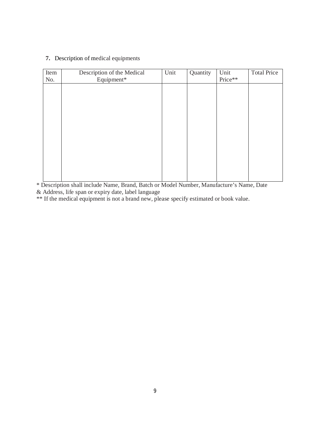# **7.** Description of medical equipments

| Item | Description of the Medical | Unit | Quantity | Unit    | <b>Total Price</b> |
|------|----------------------------|------|----------|---------|--------------------|
| No.  | Equipment*                 |      |          | Price** |                    |
|      |                            |      |          |         |                    |
|      |                            |      |          |         |                    |
|      |                            |      |          |         |                    |
|      |                            |      |          |         |                    |
|      |                            |      |          |         |                    |
|      |                            |      |          |         |                    |
|      |                            |      |          |         |                    |
|      |                            |      |          |         |                    |
|      |                            |      |          |         |                    |
|      |                            |      |          |         |                    |
|      |                            |      |          |         |                    |
|      |                            |      |          |         |                    |
|      |                            |      |          |         |                    |
|      |                            |      |          |         |                    |

\* Description shall include Name, Brand, Batch or Model Number, Manufacture's Name, Date & Address, life span or expiry date, label language

\*\* If the medical equipment is not a brand new, please specify estimated or book value.